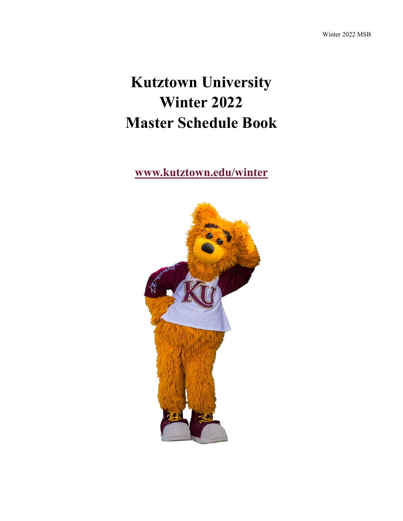# **Kutztown University Winter 2022 Master Schedule Book**

**[www.kutztown.edu/winter](file:///C:/Users/walton/Documents/Baby)**

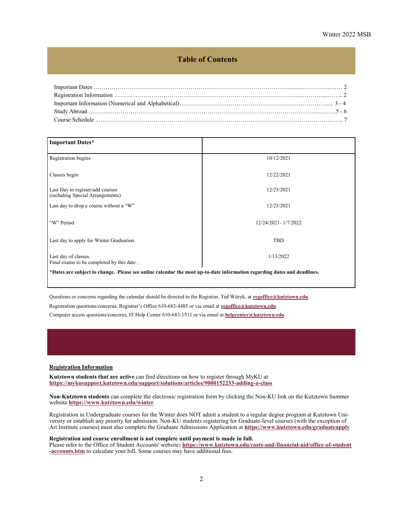### **Table of Contents**

<span id="page-1-0"></span>

| <b>Important Dates*</b>                                                                                                 |                     |  |  |
|-------------------------------------------------------------------------------------------------------------------------|---------------------|--|--|
| Registration begins                                                                                                     | 10/12/2021          |  |  |
| Classes begin                                                                                                           | 12/22/2021          |  |  |
| Last Day to register/add courses<br>(including Special Arrangements)                                                    | 12/23/2021          |  |  |
| Last day to drop a course without a "W"                                                                                 | 12/23/2021          |  |  |
| "W" Period                                                                                                              | 12/24/2021-1/7/2022 |  |  |
| Last day to apply for Winter Graduation                                                                                 | <b>TBD</b>          |  |  |
| Last day of classes.<br>Final exams to be completed by this date.                                                       | 1/13/2022           |  |  |
| *Dates are subject to change. Please see online calendar the most up-to-date information regarding dates and deadlines. |                     |  |  |

Questions or concerns regarding the calendar should be directed to the Registrar, Ted Witryk, at **[regoffice@kutztown.edu](mailto:regoffice@kutztown.edu)**.

Registration questions/concerns, Registrar's Office 610-683-4485 or via email at **[regoffice@kutztown.edu](mailto:regoffice@kutztown.edu)**.

Computer access questions/concerns, IT Help Center 610-683-1511 or via email at **[helpcenter@kutztown.edu](mailto:helpcenter@kutztown.edu?subject=%20)**.

#### **Registration Information**

**Kutztown students that are active** can find directions on how to register through MyKU at **[https://mykusupport.kutztown.edu/support/solutions/articles/9000152233](https://mykusupport.kutztown.edu/support/solutions/articles/9000152233-adding-a-class)-adding-a-clas[s](https://www.kutztown.edu/about-ku/administrative-offices/information-technology/myku-information/students.htm)**

**Non-Kutztown students** can complete the electronic registration form by clicking the Non-KU link on the Kutztown Summer website **[https://www.kutztown.edu/winter](#page-1-0)**

Registration in Undergraduate courses for the Winter does NOT admit a student to a regular degree program at Kutztown University or establish any priority for admission. Non-KU students registering for Graduate-level courses (with the exception of Art Institute courses) must also complete the Graduate Admissions Application at **[https://www.kutztown.edu/graduateapply](#page-1-0)**

#### **Registration and course enrollment is not complete until payment is made in full.**

Please refer to the Office of Student Accounts' website**: [https://www.kutztown.edu/costs](https://www.kutztown.edu/costs-and-financial-aid/office-of-student-accounts.htm)-and-financial-aid/office-of-student -[accounts.htm](https://www.kutztown.edu/costs-and-financial-aid/office-of-student-accounts.htm)** to calculate your bill. Some courses may have additional fees.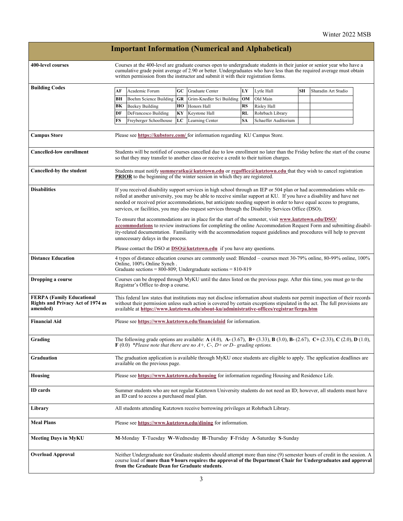|                                                                                          |                                                                                                                                                                                                                                                                                                                                                                                                                                                                                                                                                                                                                                                                                                             |                                           |          | <b>Important Information (Numerical and Alphabetical)</b>                                                                                                                                                                                  |          |                         |    |                     |  |
|------------------------------------------------------------------------------------------|-------------------------------------------------------------------------------------------------------------------------------------------------------------------------------------------------------------------------------------------------------------------------------------------------------------------------------------------------------------------------------------------------------------------------------------------------------------------------------------------------------------------------------------------------------------------------------------------------------------------------------------------------------------------------------------------------------------|-------------------------------------------|----------|--------------------------------------------------------------------------------------------------------------------------------------------------------------------------------------------------------------------------------------------|----------|-------------------------|----|---------------------|--|
| 400-level courses                                                                        | Courses at the 400-level are graduate courses open to undergraduate students in their junior or senior year who have a<br>cumulative grade point average of 2.90 or better. Undergraduates who have less than the required average must obtain<br>written permission from the instructor and submit it with their registration forms.                                                                                                                                                                                                                                                                                                                                                                       |                                           |          |                                                                                                                                                                                                                                            |          |                         |    |                     |  |
| <b>Building Codes</b>                                                                    |                                                                                                                                                                                                                                                                                                                                                                                                                                                                                                                                                                                                                                                                                                             | Academic Forum                            | GC       |                                                                                                                                                                                                                                            |          |                         | SН | Sharadin Art Studio |  |
|                                                                                          | АF                                                                                                                                                                                                                                                                                                                                                                                                                                                                                                                                                                                                                                                                                                          |                                           |          | Graduate Center                                                                                                                                                                                                                            | LY       | Lytle Hall              |    |                     |  |
|                                                                                          | ВH<br>BК                                                                                                                                                                                                                                                                                                                                                                                                                                                                                                                                                                                                                                                                                                    | Boehm Science Building<br>Beekey Building | GR<br>HО | Grim-Knedler Sci Building<br>Honors Hall                                                                                                                                                                                                   | OM<br>RS | Old Main<br>Risley Hall |    |                     |  |
|                                                                                          | DF                                                                                                                                                                                                                                                                                                                                                                                                                                                                                                                                                                                                                                                                                                          | DeFrancesco Building                      | KY       | Keystone Hall                                                                                                                                                                                                                              | RL       | Rohrbach Library        |    |                     |  |
|                                                                                          | FS                                                                                                                                                                                                                                                                                                                                                                                                                                                                                                                                                                                                                                                                                                          | Freyberger Schoolhouse                    | LC       | Learning Center                                                                                                                                                                                                                            | SA       | Schaeffer Auditorium    |    |                     |  |
| <b>Campus Store</b>                                                                      | Please see https://kubstore.com/ for information regarding KU Campus Store.                                                                                                                                                                                                                                                                                                                                                                                                                                                                                                                                                                                                                                 |                                           |          |                                                                                                                                                                                                                                            |          |                         |    |                     |  |
| <b>Cancelled-low enrollment</b>                                                          | Students will be notified of courses cancelled due to low enrollment no later than the Friday before the start of the course<br>so that they may transfer to another class or receive a credit to their tuition charges.                                                                                                                                                                                                                                                                                                                                                                                                                                                                                    |                                           |          |                                                                                                                                                                                                                                            |          |                         |    |                     |  |
| Cancelled-by the student                                                                 | Students must notify summeratku@kutztown.edu or regoffice@kutztown.edu that they wish to cancel registration<br><b>PRIOR</b> to the beginning of the winter session in which they are registered.                                                                                                                                                                                                                                                                                                                                                                                                                                                                                                           |                                           |          |                                                                                                                                                                                                                                            |          |                         |    |                     |  |
| Disabilities                                                                             | If you received disability support services in high school through an IEP or 504 plan or had accommodations while en-<br>rolled at another university, you may be able to receive similar support at KU. If you have a disability and have not<br>needed or received prior accommodations, but anticipate needing support in order to have equal access to programs,<br>services, or facilities, you may also request services through the Disability Services Office (DSO).<br>To ensure that accommodations are in place for the start of the semester, visit www.kutztown.edu/DSO/<br>accommodations to review instructions for completing the online Accommodation Request Form and submitting disabil- |                                           |          |                                                                                                                                                                                                                                            |          |                         |    |                     |  |
|                                                                                          | ity-related documentation. Familiarity with the accommodation request guidelines and procedures will help to prevent<br>unnecessary delays in the process.                                                                                                                                                                                                                                                                                                                                                                                                                                                                                                                                                  |                                           |          |                                                                                                                                                                                                                                            |          |                         |    |                     |  |
|                                                                                          | Please contact the DSO at $DSO(\hat{\omega}$ kutztown.edu if you have any questions.                                                                                                                                                                                                                                                                                                                                                                                                                                                                                                                                                                                                                        |                                           |          |                                                                                                                                                                                                                                            |          |                         |    |                     |  |
| <b>Distance Education</b>                                                                | 4 types of distance education courses are commonly used: Blended – courses meet 30-79% online, 80-99% online, 100%<br>Online, 100% Online Synch.<br>Graduate sections = $800-809$ ; Undergraduate sections = $810-819$                                                                                                                                                                                                                                                                                                                                                                                                                                                                                      |                                           |          |                                                                                                                                                                                                                                            |          |                         |    |                     |  |
| Dropping a course                                                                        | Courses can be dropped through MyKU until the dates listed on the previous page. After this time, you must go to the<br>Registrar's Office to drop a course.                                                                                                                                                                                                                                                                                                                                                                                                                                                                                                                                                |                                           |          |                                                                                                                                                                                                                                            |          |                         |    |                     |  |
| <b>FERPA (Family Educational</b><br><b>Rights and Privacy Act of 1974 as</b><br>amended) | This federal law states that institutions may not disclose information about students nor permit inspection of their records<br>without their permission unless such action is covered by certain exceptions stipulated in the act. The full provisions are<br>available at https://www.kutztown.edu/about-ku/administrative-offices/registrar/ferpa.htm                                                                                                                                                                                                                                                                                                                                                    |                                           |          |                                                                                                                                                                                                                                            |          |                         |    |                     |  |
| Financial Aid                                                                            | Please see https://www.kutztown.edu/financialaid for information.                                                                                                                                                                                                                                                                                                                                                                                                                                                                                                                                                                                                                                           |                                           |          |                                                                                                                                                                                                                                            |          |                         |    |                     |  |
| Grading                                                                                  | The following grade options are available: $A(4.0)$ , $A - (3.67)$ , $B + (3.33)$ , $B(3.0)$ , $B - (2.67)$ , $C + (2.33)$ , $C(2.0)$ , $D(1.0)$ ,<br>$\bf{F}$ (0.0) *Please note that there are no A+, C-, D+ or D– grading options.                                                                                                                                                                                                                                                                                                                                                                                                                                                                       |                                           |          |                                                                                                                                                                                                                                            |          |                         |    |                     |  |
| Graduation                                                                               | The graduation application is available through MyKU once students are eligible to apply. The application deadlines are<br>available on the previous page.                                                                                                                                                                                                                                                                                                                                                                                                                                                                                                                                                  |                                           |          |                                                                                                                                                                                                                                            |          |                         |    |                     |  |
| Housing                                                                                  | Please see https://www.kutztown.edu/housing for information regarding Housing and Residence Life.                                                                                                                                                                                                                                                                                                                                                                                                                                                                                                                                                                                                           |                                           |          |                                                                                                                                                                                                                                            |          |                         |    |                     |  |
| ID cards                                                                                 | Summer students who are not regular Kutztown University students do not need an ID; however, all students must have<br>an ID card to access a purchased meal plan.                                                                                                                                                                                                                                                                                                                                                                                                                                                                                                                                          |                                           |          |                                                                                                                                                                                                                                            |          |                         |    |                     |  |
| Library                                                                                  | All students attending Kutztown receive borrowing privileges at Rohrbach Library.                                                                                                                                                                                                                                                                                                                                                                                                                                                                                                                                                                                                                           |                                           |          |                                                                                                                                                                                                                                            |          |                         |    |                     |  |
| <b>Meal Plans</b>                                                                        | Please see https://www.kutztown.edu/dining for information.                                                                                                                                                                                                                                                                                                                                                                                                                                                                                                                                                                                                                                                 |                                           |          |                                                                                                                                                                                                                                            |          |                         |    |                     |  |
| <b>Meeting Days in MyKU</b>                                                              |                                                                                                                                                                                                                                                                                                                                                                                                                                                                                                                                                                                                                                                                                                             |                                           |          | M-Monday T-Tuesday W-Wednesday H-Thursday F-Friday A-Saturday S-Sunday                                                                                                                                                                     |          |                         |    |                     |  |
| Overload Approval                                                                        |                                                                                                                                                                                                                                                                                                                                                                                                                                                                                                                                                                                                                                                                                                             |                                           |          | Neither Undergraduate nor Graduate students should attempt more than nine (9) semester hours of credit in the session. A<br>course load of more than 9 hours requires the approval of the Department Chair for Undergraduates and approval |          |                         |    |                     |  |

**from the Graduate Dean for Graduate students**.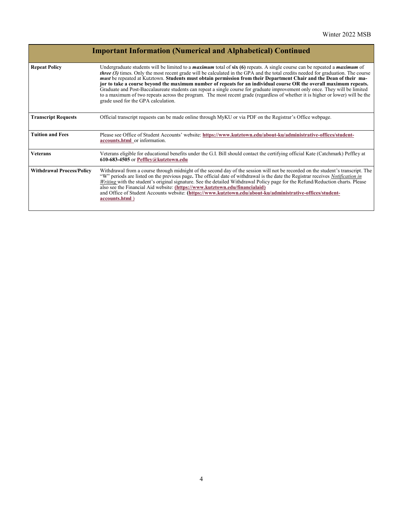|                                  | <b>Important Information (Numerical and Alphabetical) Continued</b>                                                                                                                                                                                                                                                                                                                                                                                                                                                                                                                                                                                                                                                                                                                                                                           |
|----------------------------------|-----------------------------------------------------------------------------------------------------------------------------------------------------------------------------------------------------------------------------------------------------------------------------------------------------------------------------------------------------------------------------------------------------------------------------------------------------------------------------------------------------------------------------------------------------------------------------------------------------------------------------------------------------------------------------------------------------------------------------------------------------------------------------------------------------------------------------------------------|
| <b>Repeat Policy</b>             | Undergraduate students will be limited to a <i>maximum</i> total of $\sin(6)$ repeats. A single course can be repeated a <i>maximum</i> of<br><i>three (3)</i> times. Only the most recent grade will be calculated in the GPA and the total credits needed for graduation. The course<br>must be repeated at Kutztown. Students must obtain permission from their Department Chair and the Dean of their ma-<br>jor to take a course beyond the maximum number of repeats for an individual course OR the overall maximum repeats.<br>Graduate and Post-Baccalaureate students can repeat a single course for graduate improvement only once. They will be limited<br>to a maximum of two repeats across the program. The most recent grade (regardless of whether it is higher or lower) will be the<br>grade used for the GPA calculation. |
| <b>Transcript Requests</b>       | Official transcript requests can be made online through MyKU or via PDF on the Registrar's Office webpage.                                                                                                                                                                                                                                                                                                                                                                                                                                                                                                                                                                                                                                                                                                                                    |
| <b>Tuition and Fees</b>          | Please see Office of Student Accounts' website: https://www.kutztown.edu/about-ku/administrative-offices/student-<br>accounts.html or information.                                                                                                                                                                                                                                                                                                                                                                                                                                                                                                                                                                                                                                                                                            |
| <b>Veterans</b>                  | Veterans eligible for educational benefits under the G.I. Bill should contact the certifying official Kate (Catchmark) Peffley at<br>610-683-4505 or Peffley@kutztown.edu                                                                                                                                                                                                                                                                                                                                                                                                                                                                                                                                                                                                                                                                     |
| <b>Withdrawal Process/Policy</b> | Withdrawal from a course through midnight of the second day of the session will not be recorded on the student's transcript. The<br>"W" periods are listed on the previous page. The official date of withdrawal is the date the Registrar receives Notification in<br>Writing with the student's original signature. See the detailed Withdrawal Policy page for the Refund/Reduction charts. Please<br>also see the Financial Aid website: (https://www.kutztown.edu/financialaid)<br>and Office of Student Accounts website: (https://www.kutztown.edu/about-ku/administrative-offices/student-<br>accounts.html)                                                                                                                                                                                                                          |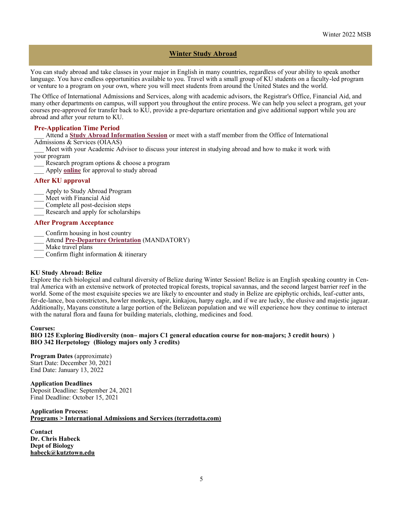# **Winter Study Abroad**

You can study abroad and take classes in your major in English in many countries, regardless of your ability to speak another language. You have endless opportunities available to you. Travel with a small group of KU students on a faculty-led program or venture to a program on your own, where you will meet students from around the United States and the world.

The Office of International Admissions and Services, along with academic advisors, the Registrar's Office, Financial Aid, and many other departments on campus, will support you throughout the entire process. We can help you select a program, get your courses pre-approved for transfer back to KU, provide a pre-departure orientation and give additional support while you are abroad and after your return to KU.

#### **Pre-Application Time Period**

\_\_\_ Attend a **[Study Abroad Information Session](http://kutztown-sa.terradotta.com/index.cfm?FuseAction=Abroad.ViewLink&Parent_ID=0&Link_ID=596F6DAB-5056-BA21-D7A6773824C6222E)** or meet with a staff member from the Office of International Admissions & Services (OIAAS)

Meet with your Academic Advisor to discuss your interest in studying abroad and how to make it work with your program

- Research program options & choose a program
- Apply **[online](https://kutztown-sa.terradotta.com/secure/)** for approval to study abroad

#### **After KU approval**

- Apply to Study Abroad Program
- \_\_\_ Meet with Financial Aid
- \_\_\_ Complete all post-decision steps
- Research and apply for scholarships

#### **After Program Acceptance**

- Confirm housing in host country
- \_\_\_ Attend **Pre-[Departure Orientation](http://kutztown-sa.terradotta.com/index.cfm?FuseAction=Abroad.ViewLink&Parent_ID=0&Link_ID=596F6DAB-5056-BA21-D7A6773824C6222E)** (MANDATORY)
- \_\_\_ Make travel plans
- \_\_\_ Confirm flight information & itinerary

#### **KU Study Abroad: Belize**

Explore the rich biological and cultural diversity of Belize during Winter Session! Belize is an English speaking country in Central America with an extensive network of protected tropical forests, tropical savannas, and the second largest barrier reef in the world. Some of the most exquisite species we are likely to encounter and study in Belize are epiphytic orchids, leaf-cutter ants, fer-de-lance, boa constrictors, howler monkeys, tapir, kinkajou, harpy eagle, and if we are lucky, the elusive and majestic jaguar. Additionally, Mayans constitute a large portion of the Belizean population and we will experience how they continue to interact with the natural flora and fauna for building materials, clothing, medicines and food.

#### **Courses:**

#### **BIO 125 Exploring Biodiversity (non– majors C1 general education course for non-majors; 3 credit hours) ) BIO 342 Herpetology (Biology majors only 3 credits)**

#### **Program Dates** (approximate) Start Date: December 30, 2021

End Date: January 13, 2022

#### **Application Deadlines**

Deposit Deadline: September 24, 2021 Final Deadline: October 15, 2021

#### **Application Process: [Programs > International Admissions and Services \(terradotta.com\)](https://kutztown-sa.terradotta.com/index.cfm?FuseAction=Programs.ViewProgramAngular&id=39629)**

**Contact Dr. Chris Habeck Dept of Biology [habeck@kutztown.edu](mailto:habeck@kutztown.edu)**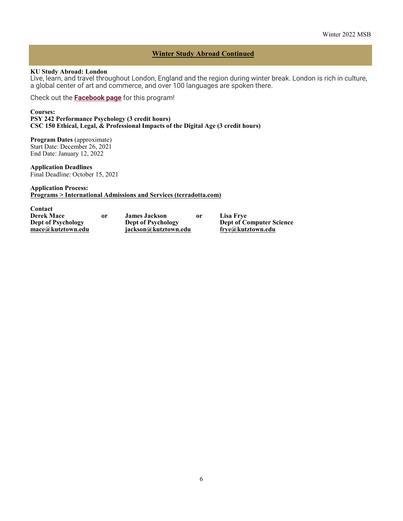# **Winter Study Abroad Continued**

#### **KU Study Abroad: London**

Live, learn, and travel throughout London, England and the region during winter break. London is rich in culture, a global center of art and commerce, and over 100 languages are spoken there.

Check out the **[Facebook page](https://www.facebook.com/kutzinlondon/)** for this program!

**Courses: PSY 242 Performance Psychology (3 credit hours) CSC 150 Ethical, Legal, & Professional Impacts of the Digital Age (3 credit hours)**

**Program Dates** (approximate) Start Date: December 26, 2021 End Date: January 12, 2022

**Application Deadlines** Final Deadline: October 15, 2021

#### **Application Process: [Programs > International Admissions and Services \(terradotta.com\)](https://kutztown-sa.terradotta.com/index.cfm?FuseAction=Programs.ViewProgramAngular&id=39629)**

| Contact                   |    |                           |    |                                 |
|---------------------------|----|---------------------------|----|---------------------------------|
| <b>Derek Mace</b>         | 0r | <b>James Jackson</b>      | 0r | Lisa Frve                       |
| <b>Dept of Psychology</b> |    | <b>Dept of Psychology</b> |    | <b>Dept of Computer Science</b> |
| mace@kutztown.edu         |    | iackson@kutztown.edu      |    | frye@kutztown.edu               |